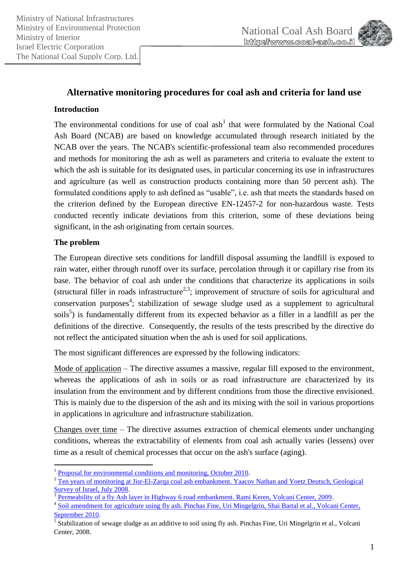

# **Alternative monitoring procedures for coal ash and criteria for land use**

#### **Introduction**

The environmental conditions for use of coal ash<sup>1</sup> that were formulated by the National Coal Ash Board (NCAB) are based on knowledge accumulated through research initiated by the NCAB over the years. The NCAB's scientific-professional team also recommended procedures and methods for monitoring the ash as well as parameters and criteria to evaluate the extent to which the ash is suitable for its designated uses, in particular concerning its use in infrastructures and agriculture (as well as construction products containing more than 50 percent ash). The formulated conditions apply to ash defined as "usable", i.e. ash that meets the standards based on the criterion defined by the European directive EN-12457-2 for non-hazardous waste. Tests conducted recently indicate deviations from this criterion, some of these deviations being significant, in the ash originating from certain sources.

#### **The problem**

1

The European directive sets conditions for landfill disposal assuming the landfill is exposed to rain water, either through runoff over its surface, percolation through it or capillary rise from its base. The behavior of coal ash under the conditions that characterize its applications in soils (structural filler in roads infrastructure<sup>2,3</sup>; improvement of structure of soils for agricultural and conservation purposes<sup>4</sup>; stabilization of sewage sludge used as a supplement to agricultural soils<sup>5</sup>) is fundamentally different from its expected behavior as a filler in a landfill as per the definitions of the directive. Consequently, the results of the tests prescribed by the directive do not reflect the anticipated situation when the ash is used for soil applications.

The most significant differences are expressed by the following indicators:

Mode of application – The directive assumes a massive, regular fill exposed to the environment, whereas the applications of ash in soils or as road infrastructure are characterized by its insulation from the environment and by different conditions from those the directive envisioned. This is mainly due to the dispersion of the ash and its mixing with the soil in various proportions in applications in agriculture and infrastructure stabilization.

Changes over time – The directive assumes extraction of chemical elements under unchanging conditions, whereas the extractability of elements from coal ash actually varies (lessens) over time as a result of chemical processes that occur on the ash's surface (aging).

<sup>1</sup> [Proposal for environmental conditions and monitoring, October 2010.](http://www.coal-ash.co.il/docs/EnvironmentalConditionsUpgrade_CoalAsh_English.pdf)

<sup>2</sup> [Ten years of monitoring at Jisr-El-Zarqa coal ash embankment. Yaacov Nathan and Yoetz Deutsch, Geological](http://www.coal-ash.co.il/sadna09/Nathan_JisrElZrka10yearsMonitoring.pdf)  [Survey of Israel, July 2008.](http://www.coal-ash.co.il/sadna09/Nathan_JisrElZrka10yearsMonitoring.pdf)

<sup>3</sup> [Permeability of a fly Ash layer in Highway 6 road embankment. Rami Keren, Volcani Center, 2009.](http://www.coal-ash.co.il/sadna09/Keren_FlyAshEmbankPermeabilty.pdf)

<sup>4</sup> [Soil amendment for agriculture using fly ash. Pinchas Fine, Uri Mingelgrin, Shai Bartal et al., Volcani Center,](http://www.coal-ash.co.il/sadna09/Fine_FlyAshAgriculturalUses.pdf)  [September 2010.](http://www.coal-ash.co.il/sadna09/Fine_FlyAshAgriculturalUses.pdf)

<sup>&</sup>lt;sup>5</sup> Stabilization of sewage sludge as an additive to soil using fly ash. Pinchas Fine, Uri Mingelgrin et al., Volcani Center, 2008.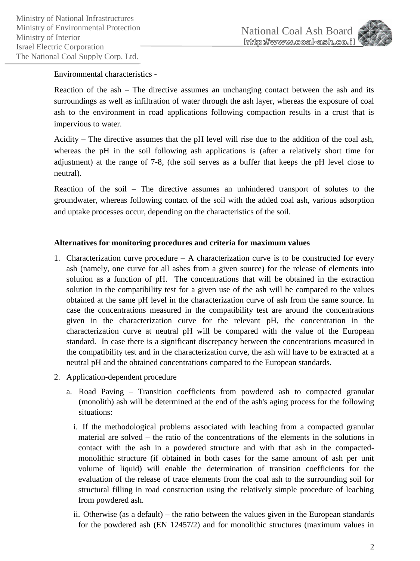

## Environmental characteristics -

Reaction of the ash – The directive assumes an unchanging contact between the ash and its surroundings as well as infiltration of water through the ash layer, whereas the exposure of coal ash to the environment in road applications following compaction results in a crust that is impervious to water.

Acidity – The directive assumes that the pH level will rise due to the addition of the coal ash, whereas the pH in the soil following ash applications is (after a relatively short time for adjustment) at the range of 7-8, (the soil serves as a buffer that keeps the pH level close to neutral).

Reaction of the soil – The directive assumes an unhindered transport of solutes to the groundwater, whereas following contact of the soil with the added coal ash, various adsorption and uptake processes occur, depending on the characteristics of the soil.

### **Alternatives for monitoring procedures and criteria for maximum values**

- 1. Characterization curve procedure A characterization curve is to be constructed for every ash (namely, one curve for all ashes from a given source) for the release of elements into solution as a function of pH. The concentrations that will be obtained in the extraction solution in the compatibility test for a given use of the ash will be compared to the values obtained at the same pH level in the characterization curve of ash from the same source. In case the concentrations measured in the compatibility test are around the concentrations given in the characterization curve for the relevant pH, the concentration in the characterization curve at neutral pH will be compared with the value of the European standard. In case there is a significant discrepancy between the concentrations measured in the compatibility test and in the characterization curve, the ash will have to be extracted at a neutral pH and the obtained concentrations compared to the European standards.
- 2. Application-dependent procedure
	- a. Road Paving Transition coefficients from powdered ash to compacted granular (monolith) ash will be determined at the end of the ash's aging process for the following situations:
		- i. If the methodological problems associated with leaching from a compacted granular material are solved – the ratio of the concentrations of the elements in the solutions in contact with the ash in a powdered structure and with that ash in the compactedmonolithic structure (if obtained in both cases for the same amount of ash per unit volume of liquid) will enable the determination of transition coefficients for the evaluation of the release of trace elements from the coal ash to the surrounding soil for structural filling in road construction using the relatively simple procedure of leaching from powdered ash.
		- ii. Otherwise (as a default) the ratio between the values given in the European standards for the powdered ash (EN 12457/2) and for monolithic structures (maximum values in